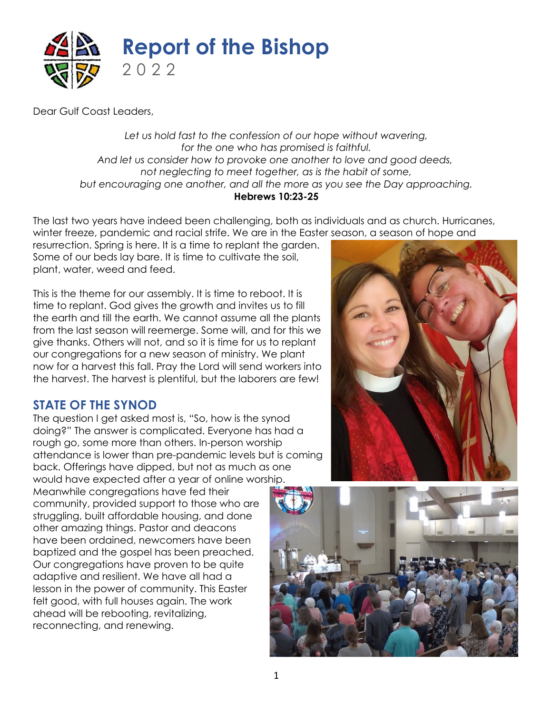

Dear Gulf Coast Leaders,

*Let us hold fast to the confession of our hope without wavering, for the one who has promised is faithful. And let us consider how to provoke one another to love and good deeds, not neglecting to meet together, as is the habit of some, but encouraging one another, and all the more as you see the Day approaching.* **Hebrews 10:23-25**

The last two years have indeed been challenging, both as individuals and as church. Hurricanes, winter freeze, pandemic and racial strife. We are in the Easter season, a season of hope and

resurrection. Spring is here. It is a time to replant the garden. Some of our beds lay bare. It is time to cultivate the soil, plant, water, weed and feed.

This is the theme for our assembly. It is time to reboot. It is time to replant. God gives the growth and invites us to fill the earth and till the earth. We cannot assume all the plants from the last season will reemerge. Some will, and for this we give thanks. Others will not, and so it is time for us to replant our congregations for a new season of ministry. We plant now for a harvest this fall. Pray the Lord will send workers into the harvest. The harvest is plentiful, but the laborers are few!

## **STATE OF THE SYNOD**

The question I get asked most is, "So, how is the synod doing?" The answer is complicated. Everyone has had a rough go, some more than others. In-person worship attendance is lower than pre-pandemic levels but is coming back. Offerings have dipped, but not as much as one would have expected after a year of online worship.

Meanwhile congregations have fed their community, provided support to those who are struggling, built affordable housing, and done other amazing things. Pastor and deacons have been ordained, newcomers have been baptized and the gospel has been preached. Our congregations have proven to be quite adaptive and resilient. We have all had a lesson in the power of community. This Easter felt good, with full houses again. The work ahead will be rebooting, revitalizing, reconnecting, and renewing.